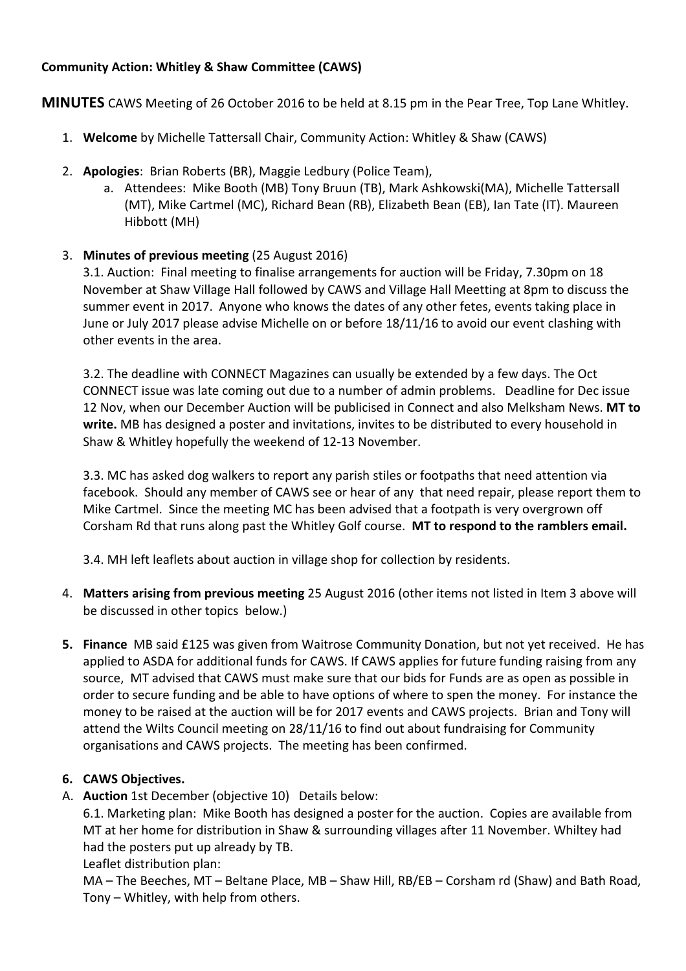# **Community Action: Whitley & Shaw Committee (CAWS)**

**MINUTES** CAWS Meeting of 26 October 2016 to be held at 8.15 pm in the Pear Tree, Top Lane Whitley.

- 1. **Welcome** by Michelle Tattersall Chair, Community Action: Whitley & Shaw (CAWS)
- 2. **Apologies**: Brian Roberts (BR), Maggie Ledbury (Police Team),
	- a. Attendees: Mike Booth (MB) Tony Bruun (TB), Mark Ashkowski(MA), Michelle Tattersall (MT), Mike Cartmel (MC), Richard Bean (RB), Elizabeth Bean (EB), Ian Tate (IT). Maureen Hibbott (MH)
- 3. **Minutes of previous meeting** (25 August 2016)

3.1. Auction: Final meeting to finalise arrangements for auction will be Friday, 7.30pm on 18 November at Shaw Village Hall followed by CAWS and Village Hall Meetting at 8pm to discuss the summer event in 2017. Anyone who knows the dates of any other fetes, events taking place in June or July 2017 please advise Michelle on or before 18/11/16 to avoid our event clashing with other events in the area.

3.2. The deadline with CONNECT Magazines can usually be extended by a few days. The Oct CONNECT issue was late coming out due to a number of admin problems. Deadline for Dec issue 12 Nov, when our December Auction will be publicised in Connect and also Melksham News. **MT to write.** MB has designed a poster and invitations, invites to be distributed to every household in Shaw & Whitley hopefully the weekend of 12-13 November.

3.3. MC has asked dog walkers to report any parish stiles or footpaths that need attention via facebook. Should any member of CAWS see or hear of any that need repair, please report them to Mike Cartmel. Since the meeting MC has been advised that a footpath is very overgrown off Corsham Rd that runs along past the Whitley Golf course. **MT to respond to the ramblers email.**

3.4. MH left leaflets about auction in village shop for collection by residents.

- 4. **Matters arising from previous meeting** 25 August 2016 (other items not listed in Item 3 above will be discussed in other topics below.)
- **5. Finance** MB said £125 was given from Waitrose Community Donation, but not yet received. He has applied to ASDA for additional funds for CAWS. If CAWS applies for future funding raising from any source, MT advised that CAWS must make sure that our bids for Funds are as open as possible in order to secure funding and be able to have options of where to spen the money. For instance the money to be raised at the auction will be for 2017 events and CAWS projects. Brian and Tony will attend the Wilts Council meeting on 28/11/16 to find out about fundraising for Community organisations and CAWS projects. The meeting has been confirmed.

# **6. CAWS Objectives.**

A. **Auction** 1st December (objective 10) Details below:

6.1. Marketing plan: Mike Booth has designed a poster for the auction. Copies are available from MT at her home for distribution in Shaw & surrounding villages after 11 November. Whiltey had had the posters put up already by TB.

Leaflet distribution plan:

MA – The Beeches, MT – Beltane Place, MB – Shaw Hill, RB/EB – Corsham rd (Shaw) and Bath Road, Tony – Whitley, with help from others.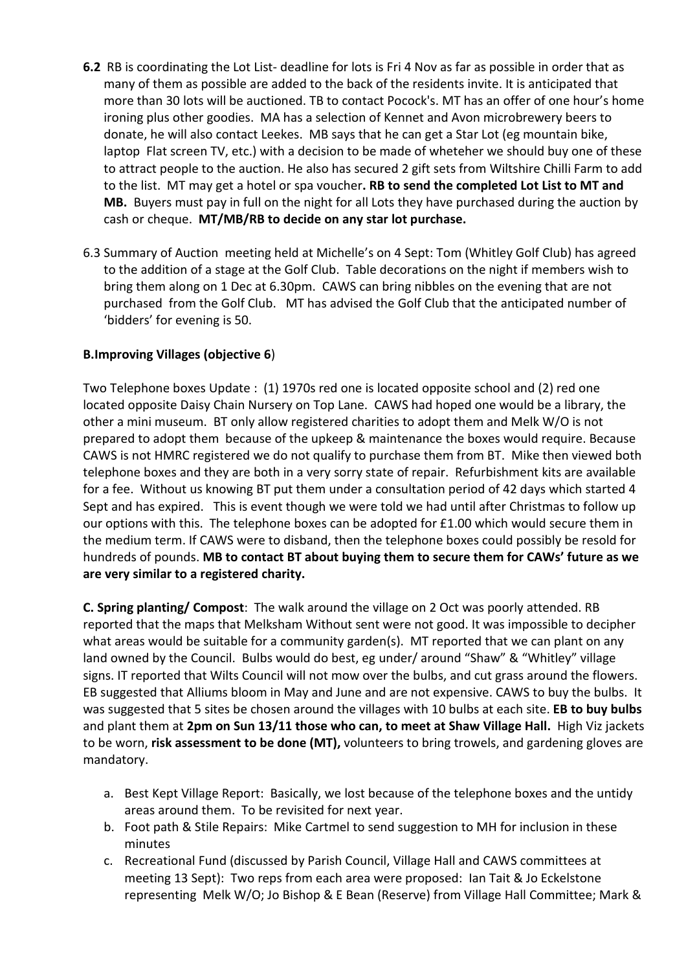- **6.2** RB is coordinating the Lot List- deadline for lots is Fri 4 Nov as far as possible in order that as many of them as possible are added to the back of the residents invite. It is anticipated that more than 30 lots will be auctioned. TB to contact Pocock's. MT has an offer of one hour's home ironing plus other goodies. MA has a selection of Kennet and Avon microbrewery beers to donate, he will also contact Leekes. MB says that he can get a Star Lot (eg mountain bike, laptop Flat screen TV, etc.) with a decision to be made of wheteher we should buy one of these to attract people to the auction. He also has secured 2 gift sets from Wiltshire Chilli Farm to add to the list. MT may get a hotel or spa voucher**. RB to send the completed Lot List to MT and MB.** Buyers must pay in full on the night for all Lots they have purchased during the auction by cash or cheque. **MT/MB/RB to decide on any star lot purchase.**
- 6.3 Summary of Auction meeting held at Michelle's on 4 Sept: Tom (Whitley Golf Club) has agreed to the addition of a stage at the Golf Club. Table decorations on the night if members wish to bring them along on 1 Dec at 6.30pm. CAWS can bring nibbles on the evening that are not purchased from the Golf Club. MT has advised the Golf Club that the anticipated number of 'bidders' for evening is 50.

#### **B.Improving Villages (objective 6**)

Two Telephone boxes Update : (1) 1970s red one is located opposite school and (2) red one located opposite Daisy Chain Nursery on Top Lane. CAWS had hoped one would be a library, the other a mini museum. BT only allow registered charities to adopt them and Melk W/O is not prepared to adopt them because of the upkeep & maintenance the boxes would require. Because CAWS is not HMRC registered we do not qualify to purchase them from BT. Mike then viewed both telephone boxes and they are both in a very sorry state of repair. Refurbishment kits are available for a fee. Without us knowing BT put them under a consultation period of 42 days which started 4 Sept and has expired. This is event though we were told we had until after Christmas to follow up our options with this. The telephone boxes can be adopted for £1.00 which would secure them in the medium term. If CAWS were to disband, then the telephone boxes could possibly be resold for hundreds of pounds. **MB to contact BT about buying them to secure them for CAWs' future as we are very similar to a registered charity.** 

**C. Spring planting/ Compost**: The walk around the village on 2 Oct was poorly attended. RB reported that the maps that Melksham Without sent were not good. It was impossible to decipher what areas would be suitable for a community garden(s). MT reported that we can plant on any land owned by the Council. Bulbs would do best, eg under/ around "Shaw" & "Whitley" village signs. IT reported that Wilts Council will not mow over the bulbs, and cut grass around the flowers. EB suggested that Alliums bloom in May and June and are not expensive. CAWS to buy the bulbs. It was suggested that 5 sites be chosen around the villages with 10 bulbs at each site. **EB to buy bulbs** and plant them at **2pm on Sun 13/11 those who can, to meet at Shaw Village Hall.** High Viz jackets to be worn, **risk assessment to be done (MT),** volunteers to bring trowels, and gardening gloves are mandatory.

- a. Best Kept Village Report: Basically, we lost because of the telephone boxes and the untidy areas around them. To be revisited for next year.
- b. Foot path & Stile Repairs: Mike Cartmel to send suggestion to MH for inclusion in these minutes
- c. Recreational Fund (discussed by Parish Council, Village Hall and CAWS committees at meeting 13 Sept): Two reps from each area were proposed: Ian Tait & Jo Eckelstone representing Melk W/O; Jo Bishop & E Bean (Reserve) from Village Hall Committee; Mark &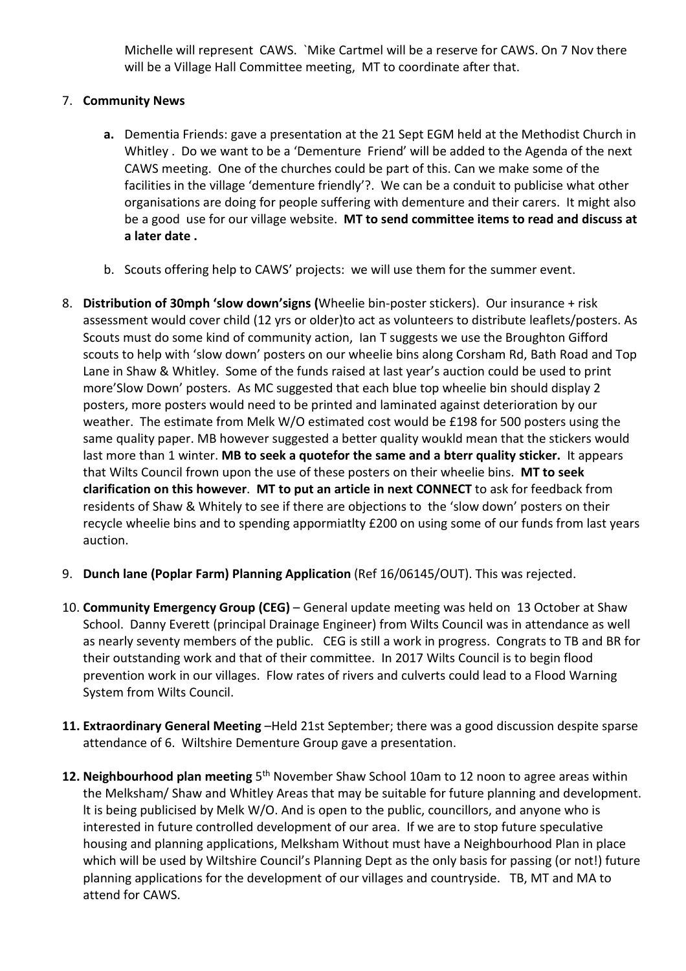Michelle will represent CAWS. `Mike Cartmel will be a reserve for CAWS. On 7 Nov there will be a Village Hall Committee meeting, MT to coordinate after that.

### 7. **Community News**

- **a.** Dementia Friends: gave a presentation at the 21 Sept EGM held at the Methodist Church in Whitley . Do we want to be a 'Dementure Friend' will be added to the Agenda of the next CAWS meeting. One of the churches could be part of this. Can we make some of the facilities in the village 'dementure friendly'?. We can be a conduit to publicise what other organisations are doing for people suffering with dementure and their carers. It might also be a good use for our village website. **MT to send committee items to read and discuss at a later date .**
- b. Scouts offering help to CAWS' projects: we will use them for the summer event.
- 8. **Distribution of 30mph 'slow down'signs (**Wheelie bin-poster stickers). Our insurance + risk assessment would cover child (12 yrs or older)to act as volunteers to distribute leaflets/posters. As Scouts must do some kind of community action, Ian T suggests we use the Broughton Gifford scouts to help with 'slow down' posters on our wheelie bins along Corsham Rd, Bath Road and Top Lane in Shaw & Whitley. Some of the funds raised at last year's auction could be used to print more'Slow Down' posters. As MC suggested that each blue top wheelie bin should display 2 posters, more posters would need to be printed and laminated against deterioration by our weather. The estimate from Melk W/O estimated cost would be £198 for 500 posters using the same quality paper. MB however suggested a better quality woukld mean that the stickers would last more than 1 winter. **MB to seek a quotefor the same and a bterr quality sticker.** It appears that Wilts Council frown upon the use of these posters on their wheelie bins. **MT to seek clarification on this however**. **MT to put an article in next CONNECT** to ask for feedback from residents of Shaw & Whitely to see if there are objections to the 'slow down' posters on their recycle wheelie bins and to spending appormiatlty £200 on using some of our funds from last years auction.
- 9. **Dunch lane (Poplar Farm) Planning Application** (Ref 16/06145/OUT). This was rejected.
- 10. **Community Emergency Group (CEG)** General update meeting was held on 13 October at Shaw School. Danny Everett (principal Drainage Engineer) from Wilts Council was in attendance as well as nearly seventy members of the public. CEG is still a work in progress. Congrats to TB and BR for their outstanding work and that of their committee. In 2017 Wilts Council is to begin flood prevention work in our villages. Flow rates of rivers and culverts could lead to a Flood Warning System from Wilts Council.
- **11. Extraordinary General Meeting** –Held 21st September; there was a good discussion despite sparse attendance of 6. Wiltshire Dementure Group gave a presentation.
- 12. Neighbourhood plan meeting 5<sup>th</sup> November Shaw School 10am to 12 noon to agree areas within the Melksham/ Shaw and Whitley Areas that may be suitable for future planning and development. lt is being publicised by Melk W/O. And is open to the public, councillors, and anyone who is interested in future controlled development of our area. If we are to stop future speculative housing and planning applications, Melksham Without must have a Neighbourhood Plan in place which will be used by Wiltshire Council's Planning Dept as the only basis for passing (or not!) future planning applications for the development of our villages and countryside. TB, MT and MA to attend for CAWS.